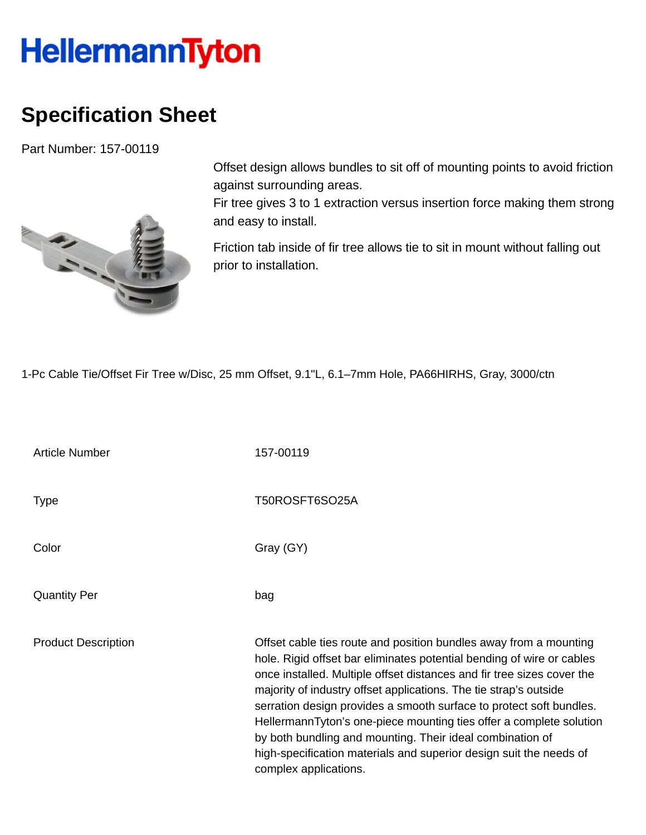## **HellermannTyton**

## **Specification Sheet**

Part Number: 157-00119



Offset design allows bundles to sit off of mounting points to avoid friction against surrounding areas.

Fir tree gives 3 to 1 extraction versus insertion force making them strong and easy to install.

Friction tab inside of fir tree allows tie to sit in mount without falling out prior to installation.

1-Pc Cable Tie/Offset Fir Tree w/Disc, 25 mm Offset, 9.1"L, 6.1–7mm Hole, PA66HIRHS, Gray, 3000/ctn

Article Number 157-00119 Type T50ROSFT6SO25A Color Gray (GY) Quantity Per bag Product Description **Description** Offset cable ties route and position bundles away from a mounting hole. Rigid offset bar eliminates potential bending of wire or cables once installed. Multiple offset distances and fir tree sizes cover the majority of industry offset applications. The tie strap's outside serration design provides a smooth surface to protect soft bundles. HellermannTyton's one-piece mounting ties offer a complete solution by both bundling and mounting. Their ideal combination of high-specification materials and superior design suit the needs of complex applications.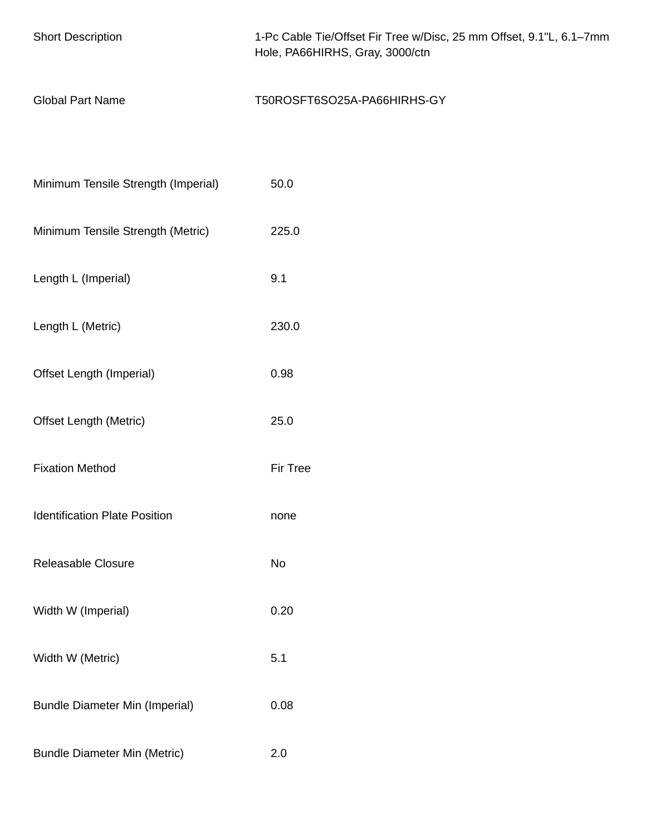| <b>Short Description</b>              | 1-Pc Cable Tie/Offset Fir Tree w/Disc, 25 mm Offset, 9.1"L, 6.1-7mm<br>Hole, PA66HIRHS, Gray, 3000/ctn |  |  |
|---------------------------------------|--------------------------------------------------------------------------------------------------------|--|--|
| <b>Global Part Name</b>               | T50ROSFT6SO25A-PA66HIRHS-GY                                                                            |  |  |
|                                       |                                                                                                        |  |  |
| Minimum Tensile Strength (Imperial)   | 50.0                                                                                                   |  |  |
| Minimum Tensile Strength (Metric)     | 225.0                                                                                                  |  |  |
| Length L (Imperial)                   | 9.1                                                                                                    |  |  |
| Length L (Metric)                     | 230.0                                                                                                  |  |  |
| Offset Length (Imperial)              | 0.98                                                                                                   |  |  |
| <b>Offset Length (Metric)</b>         | 25.0                                                                                                   |  |  |
| <b>Fixation Method</b>                | Fir Tree                                                                                               |  |  |
| <b>Identification Plate Position</b>  | none                                                                                                   |  |  |
| Releasable Closure                    | No                                                                                                     |  |  |
| Width W (Imperial)                    | 0.20                                                                                                   |  |  |
| Width W (Metric)                      | 5.1                                                                                                    |  |  |
| <b>Bundle Diameter Min (Imperial)</b> | 0.08                                                                                                   |  |  |
| <b>Bundle Diameter Min (Metric)</b>   | 2.0                                                                                                    |  |  |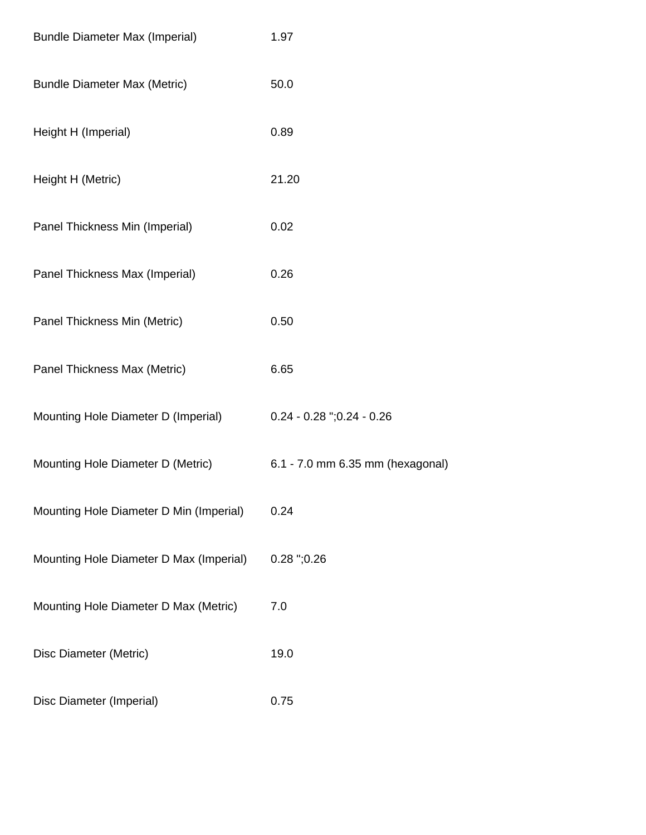| <b>Bundle Diameter Max (Imperial)</b>   | 1.97                             |
|-----------------------------------------|----------------------------------|
| <b>Bundle Diameter Max (Metric)</b>     | 50.0                             |
| Height H (Imperial)                     | 0.89                             |
| Height H (Metric)                       | 21.20                            |
| Panel Thickness Min (Imperial)          | 0.02                             |
| Panel Thickness Max (Imperial)          | 0.26                             |
| Panel Thickness Min (Metric)            | 0.50                             |
| Panel Thickness Max (Metric)            | 6.65                             |
| Mounting Hole Diameter D (Imperial)     | $0.24 - 0.28$ "; $0.24 - 0.26$   |
| Mounting Hole Diameter D (Metric)       | 6.1 - 7.0 mm 6.35 mm (hexagonal) |
| Mounting Hole Diameter D Min (Imperial) | 0.24                             |
| Mounting Hole Diameter D Max (Imperial) | $0.28$ ";0.26                    |
| Mounting Hole Diameter D Max (Metric)   | 7.0                              |
| Disc Diameter (Metric)                  | 19.0                             |
| Disc Diameter (Imperial)                | 0.75                             |